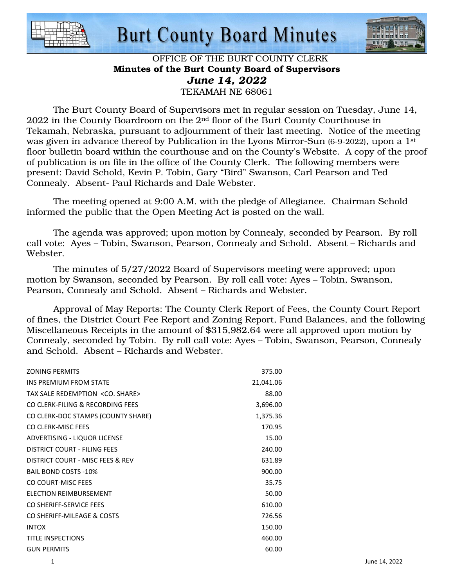

## **Burt County Board Minutes**



### OFFICE OF THE BURT COUNTY CLERK Minutes of the Burt County Board of Supervisors *June 14, 2022*  TEKAMAH NE 68061

 The Burt County Board of Supervisors met in regular session on Tuesday, June 14, 2022 in the County Boardroom on the 2nd floor of the Burt County Courthouse in Tekamah, Nebraska, pursuant to adjournment of their last meeting. Notice of the meeting was given in advance thereof by Publication in the Lyons Mirror-Sun (6-9-2022), upon a 1<sup>st</sup> floor bulletin board within the courthouse and on the County's Website. A copy of the proof of publication is on file in the office of the County Clerk. The following members were present: David Schold, Kevin P. Tobin, Gary "Bird" Swanson, Carl Pearson and Ted Connealy. Absent- Paul Richards and Dale Webster.

 The meeting opened at 9:00 A.M. with the pledge of Allegiance. Chairman Schold informed the public that the Open Meeting Act is posted on the wall.

 The agenda was approved; upon motion by Connealy, seconded by Pearson. By roll call vote: Ayes – Tobin, Swanson, Pearson, Connealy and Schold. Absent – Richards and Webster.

 The minutes of 5/27/2022 Board of Supervisors meeting were approved; upon motion by Swanson, seconded by Pearson. By roll call vote: Ayes – Tobin, Swanson, Pearson, Connealy and Schold. Absent – Richards and Webster.

 Approval of May Reports: The County Clerk Report of Fees, the County Court Report of fines, the District Court Fee Report and Zoning Report, Fund Balances, and the following Miscellaneous Receipts in the amount of \$315,982.64 were all approved upon motion by Connealy, seconded by Tobin. By roll call vote: Ayes – Tobin, Swanson, Pearson, Connealy and Schold. Absent – Richards and Webster.

| <b>ZONING PERMITS</b>                    | 375.00    |
|------------------------------------------|-----------|
| INS PREMIUM FROM STATE                   | 21,041.06 |
| TAX SALE REDEMPTION <co. share=""></co.> | 88.00     |
| CO CLERK-FILING & RECORDING FEES         | 3,696.00  |
| CO CLERK-DOC STAMPS (COUNTY SHARE)       | 1,375.36  |
| CO CLERK-MISC FEES                       | 170.95    |
| ADVERTISING - LIQUOR LICENSE             | 15.00     |
| DISTRICT COURT - FILING FEES             | 240.00    |
| DISTRICT COURT - MISC FEES & REV         | 631.89    |
| <b>BAIL BOND COSTS -10%</b>              | 900.00    |
| CO COURT-MISC FEES                       | 35.75     |
| ELECTION REIMBURSEMENT                   | 50.00     |
| CO SHERIFF-SERVICE FEES                  | 610.00    |
| CO SHERIFF-MILEAGE & COSTS               | 726.56    |
| <b>INTOX</b>                             | 150.00    |
| <b>TITLE INSPECTIONS</b>                 | 460.00    |
| <b>GUN PERMITS</b>                       | 60.00     |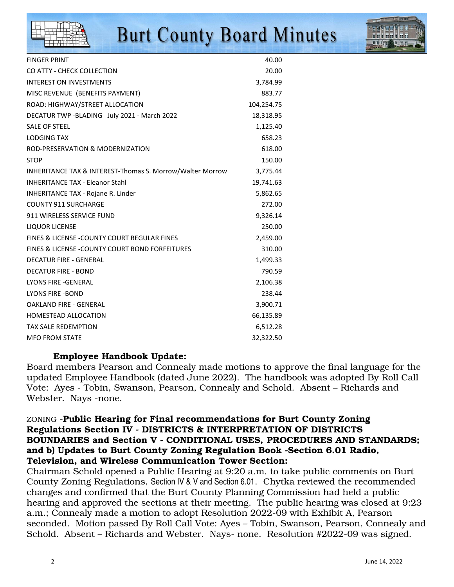

# **Burt County Board Minutes**



| <b>FINGER PRINT</b>                                       | 40.00      |
|-----------------------------------------------------------|------------|
| CO ATTY - CHECK COLLECTION                                | 20.00      |
| <b>INTEREST ON INVESTMENTS</b>                            | 3,784.99   |
| MISC REVENUE (BENEFITS PAYMENT)                           | 883.77     |
| ROAD: HIGHWAY/STREET ALLOCATION                           | 104,254.75 |
| DECATUR TWP -BLADING July 2021 - March 2022               | 18,318.95  |
| <b>SALE OF STEEL</b>                                      | 1,125.40   |
| <b>LODGING TAX</b>                                        | 658.23     |
| ROD-PRESERVATION & MODERNIZATION                          | 618.00     |
| <b>STOP</b>                                               | 150.00     |
| INHERITANCE TAX & INTEREST-Thomas S. Morrow/Walter Morrow | 3,775.44   |
| <b>INHERITANCE TAX - Eleanor Stahl</b>                    | 19,741.63  |
| INHERITANCE TAX - Rojane R. Linder                        | 5,862.65   |
| <b>COUNTY 911 SURCHARGE</b>                               | 272.00     |
| 911 WIRELESS SERVICE FUND                                 | 9,326.14   |
| <b>LIQUOR LICENSE</b>                                     | 250.00     |
| FINES & LICENSE - COUNTY COURT REGULAR FINES              | 2,459.00   |
| FINES & LICENSE - COUNTY COURT BOND FORFEITURES           | 310.00     |
| <b>DECATUR FIRE - GENERAL</b>                             | 1,499.33   |
| <b>DECATUR FIRE - BOND</b>                                | 790.59     |
| LYONS FIRE - GENERAL                                      | 2,106.38   |
| <b>LYONS FIRE -BOND</b>                                   | 238.44     |
| <b>OAKLAND FIRE - GENERAL</b>                             | 3,900.71   |
| <b>HOMESTEAD ALLOCATION</b>                               | 66,135.89  |
| <b>TAX SALE REDEMPTION</b>                                | 6,512.28   |
| <b>MFO FROM STATE</b>                                     | 32,322.50  |

## Employee Handbook Update:

Board members Pearson and Connealy made motions to approve the final language for the updated Employee Handbook (dated June 2022). The handbook was adopted By Roll Call Vote: Ayes - Tobin, Swanson, Pearson, Connealy and Schold. Absent – Richards and Webster. Nays -none.

## ZONING -Public Hearing for Final recommendations for Burt County Zoning Regulations Section IV - DISTRICTS & INTERPRETATION OF DISTRICTS BOUNDARIES and Section V - CONDITIONAL USES, PROCEDURES AND STANDARDS; and b) Updates to Burt County Zoning Regulation Book -Section 6.01 Radio, Television, and Wireless Communication Tower Section:

Chairman Schold opened a Public Hearing at 9:20 a.m. to take public comments on Burt County Zoning Regulations, Section IV & V and Section 6.01. Chytka reviewed the recommended changes and confirmed that the Burt County Planning Commission had held a public hearing and approved the sections at their meeting. The public hearing was closed at 9:23 a.m.; Connealy made a motion to adopt Resolution 2022-09 with Exhibit A, Pearson seconded. Motion passed By Roll Call Vote: Ayes – Tobin, Swanson, Pearson, Connealy and Schold. Absent – Richards and Webster. Nays- none. Resolution #2022-09 was signed.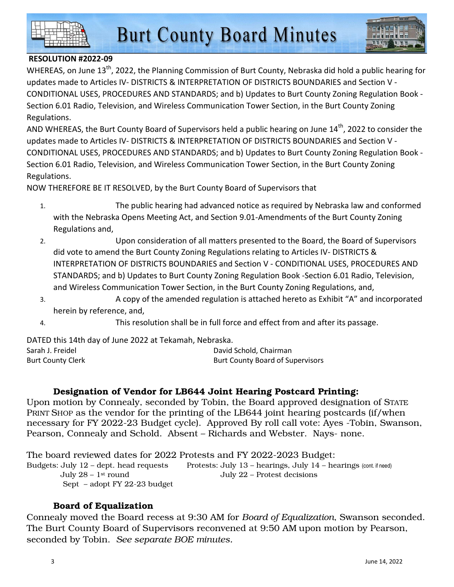



## **RESOLUTION #2022-09**

WHEREAS, on June 13<sup>th</sup>, 2022, the Planning Commission of Burt County, Nebraska did hold a public hearing for updates made to Articles IV- DISTRICTS & INTERPRETATION OF DISTRICTS BOUNDARIES and Section V - CONDITIONAL USES, PROCEDURES AND STANDARDS; and b) Updates to Burt County Zoning Regulation Book - Section 6.01 Radio, Television, and Wireless Communication Tower Section, in the Burt County Zoning Regulations.

AND WHEREAS, the Burt County Board of Supervisors held a public hearing on June 14<sup>th</sup>, 2022 to consider the updates made to Articles IV- DISTRICTS & INTERPRETATION OF DISTRICTS BOUNDARIES and Section V - CONDITIONAL USES, PROCEDURES AND STANDARDS; and b) Updates to Burt County Zoning Regulation Book - Section 6.01 Radio, Television, and Wireless Communication Tower Section, in the Burt County Zoning Regulations.

NOW THEREFORE BE IT RESOLVED, by the Burt County Board of Supervisors that

- 1. The public hearing had advanced notice as required by Nebraska law and conformed with the Nebraska Opens Meeting Act, and Section 9.01-Amendments of the Burt County Zoning Regulations and,
- 2. Upon consideration of all matters presented to the Board, the Board of Supervisors did vote to amend the Burt County Zoning Regulations relating to Articles IV- DISTRICTS & INTERPRETATION OF DISTRICTS BOUNDARIES and Section V - CONDITIONAL USES, PROCEDURES AND STANDARDS; and b) Updates to Burt County Zoning Regulation Book -Section 6.01 Radio, Television, and Wireless Communication Tower Section, in the Burt County Zoning Regulations, and,
- 3. A copy of the amended regulation is attached hereto as Exhibit "A" and incorporated herein by reference, and,
- 4. This resolution shall be in full force and effect from and after its passage.

DATED this 14th day of June 2022 at Tekamah, Nebraska.

| Sarah J. Freidel  | David Schold, Chairman                  |
|-------------------|-----------------------------------------|
| Burt County Clerk | <b>Burt County Board of Supervisors</b> |

## Designation of Vendor for LB644 Joint Hearing Postcard Printing:

Upon motion by Connealy, seconded by Tobin, the Board approved designation of STATE PRINT SHOP as the vendor for the printing of the LB644 joint hearing postcards (if/when necessary for FY 2022-23 Budget cycle). Approved By roll call vote: Ayes -Tobin, Swanson, Pearson, Connealy and Schold. Absent – Richards and Webster. Nays- none.

The board reviewed dates for 2022 Protests and FY 2022-2023 Budget: Budgets: July 12 – dept. head requests Protests: July 13 – hearings, July 14 – hearings (cont. if need) July 28 – 1st round July 22 – Protest decisions Sept – adopt FY 22-23 budget

## Board of Equalization

Connealy moved the Board recess at 9:30 AM for *Board of Equalization*, Swanson seconded. The Burt County Board of Supervisors reconvened at 9:50 AM upon motion by Pearson, seconded by Tobin. *See separate BOE minutes.*